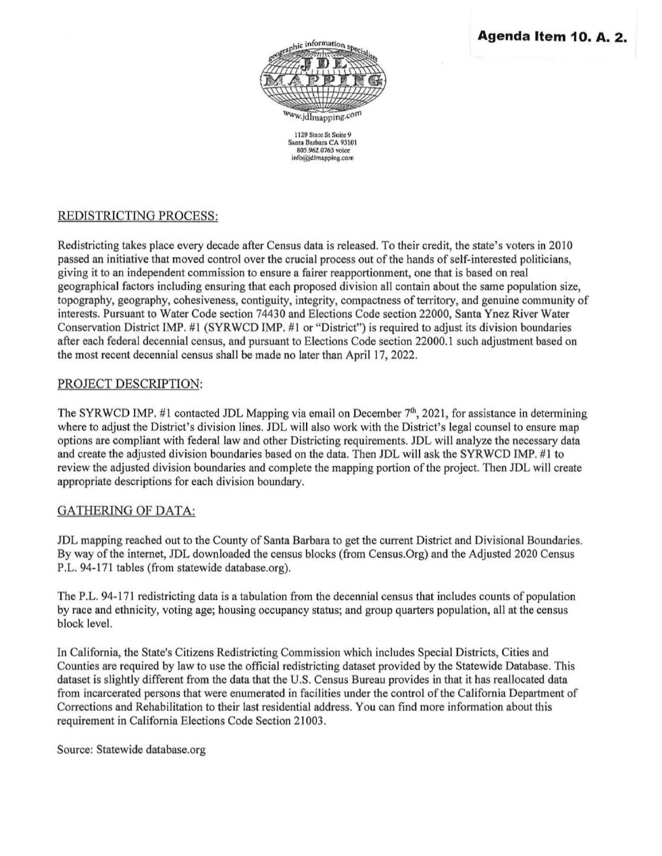

1129 State St Suite 9 Santa Barbara CA 93101 805.962.0763 voice lnfo@jdlmapplng.com

## REDISTRICTING PROCESS:

Redistricting takes place every decade after Census data is released. To their credit, the state's voters in 2010 passed an initiative that moved control over the crucial process out of the hands of self-interested politicians, giving it to an independent commission to ensure a fairer reapportionment, one that is based on real geographical factors including ensuring that each proposed division all contain about the same population size, topography, geography, cohesiveness, contiguity, integrity, compactness of territory, and genuine community of interests. Pursuant to Water Code section 74430 and Elections Code section 22000, Santa Ynez River Water Conservation District IMP. #1 (SYRWCD IMP. #1 or "District") is required to adjust its division boundaries after each federal decennial census, and pursuant to Elections Code section 22000.1 such adjustment based on the most recent decennial census shall be made no later than April 17, 2022.

### PROJECT DESCRIPTION:

The SYRWCD IMP. #1 contacted JDL Mapping via email on December  $7<sup>th</sup>$ , 2021, for assistance in determining where to adjust the District's division lines. JDL will also work with the District's legal counsel to ensure map options are compliant with federal law and other Districting requirements. JDL will analyze the necessary data and create the adjusted division boundaries based on the data. Then JDL will ask the SYRWCD IMP. #1 to review the adjusted division boundaries and complete the mapping portion of the project. Then JDL will create appropriate descriptions for each division boundary.

## GATHERING OF DATA:

JDL mapping reached out to the County of Santa Barbara to get the current District and Divisional Boundaries. By way of the internet, JDL downloaded the census blocks (from Census.Org) and the Adjusted 2020 Census P.L. 94-171 tables (from statewide database.org).

The P.L. 94-171 redistricting data is a tabulation from the decennial census that includes counts of population by race and ethnicity, voting age; housing occupancy status; and group quarters population, all at the census block level.

In California, the State's Citizens Redistricting Commission which includes Special Districts, Cities and Counties are required by law to use the official redistricting dataset provided by the Statewide Database. This dataset is slightly different from the data that the U.S. Census Bureau provides in that it has reallocated data from incarcerated persons that were enumerated in facilities under the control of the California Department of Corrections and Rehabilitation to their last residential address. You can find more information about this requirement in California Elections Code Section 21003.

Source: Statewide database.org